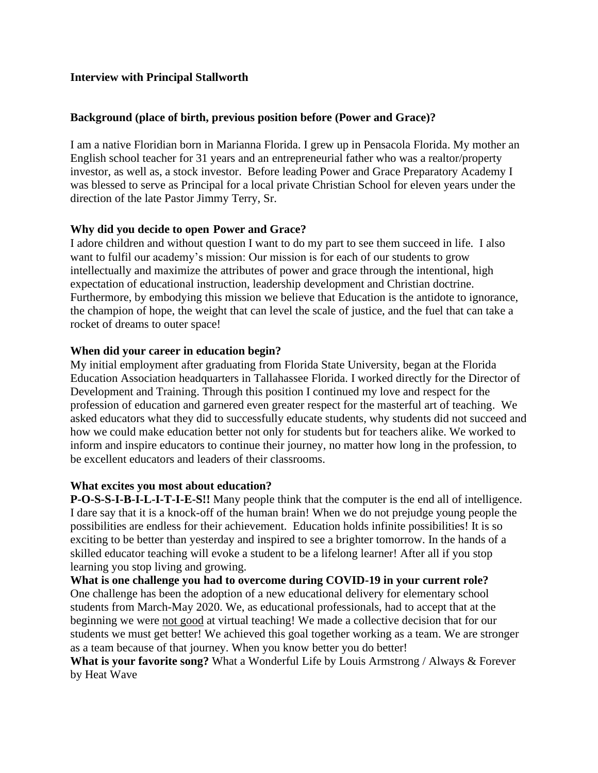# **Interview with Principal Stallworth**

### **Background (place of birth, previous position before (Power and Grace)?**

I am a native Floridian born in Marianna Florida. I grew up in Pensacola Florida. My mother an English school teacher for 31 years and an entrepreneurial father who was a realtor/property investor, as well as, a stock investor. Before leading Power and Grace Preparatory Academy I was blessed to serve as Principal for a local private Christian School for eleven years under the direction of the late Pastor Jimmy Terry, Sr.

## **Why did you decide to open Power and Grace?**

I adore children and without question I want to do my part to see them succeed in life. I also want to fulfil our academy's mission: Our mission is for each of our students to grow intellectually and maximize the attributes of power and grace through the intentional, high expectation of educational instruction, leadership development and Christian doctrine. Furthermore, by embodying this mission we believe that Education is the antidote to ignorance, the champion of hope, the weight that can level the scale of justice, and the fuel that can take a rocket of dreams to outer space!

#### **When did your career in education begin?**

My initial employment after graduating from Florida State University, began at the Florida Education Association headquarters in Tallahassee Florida. I worked directly for the Director of Development and Training. Through this position I continued my love and respect for the profession of education and garnered even greater respect for the masterful art of teaching. We asked educators what they did to successfully educate students, why students did not succeed and how we could make education better not only for students but for teachers alike. We worked to inform and inspire educators to continue their journey, no matter how long in the profession, to be excellent educators and leaders of their classrooms.

#### **What excites you most about education?**

**P-O-S-S-I-B-I-L-I-T-I-E-S!!** Many people think that the computer is the end all of intelligence. I dare say that it is a knock-off of the human brain! When we do not prejudge young people the possibilities are endless for their achievement. Education holds infinite possibilities! It is so exciting to be better than yesterday and inspired to see a brighter tomorrow. In the hands of a skilled educator teaching will evoke a student to be a lifelong learner! After all if you stop learning you stop living and growing.

**What is one challenge you had to overcome during COVID-19 in your current role?** One challenge has been the adoption of a new educational delivery for elementary school students from March-May 2020. We, as educational professionals, had to accept that at the beginning we were not good at virtual teaching! We made a collective decision that for our students we must get better! We achieved this goal together working as a team. We are stronger as a team because of that journey. When you know better you do better!

**What is your favorite song?** What a Wonderful Life by Louis Armstrong / Always & Forever by Heat Wave